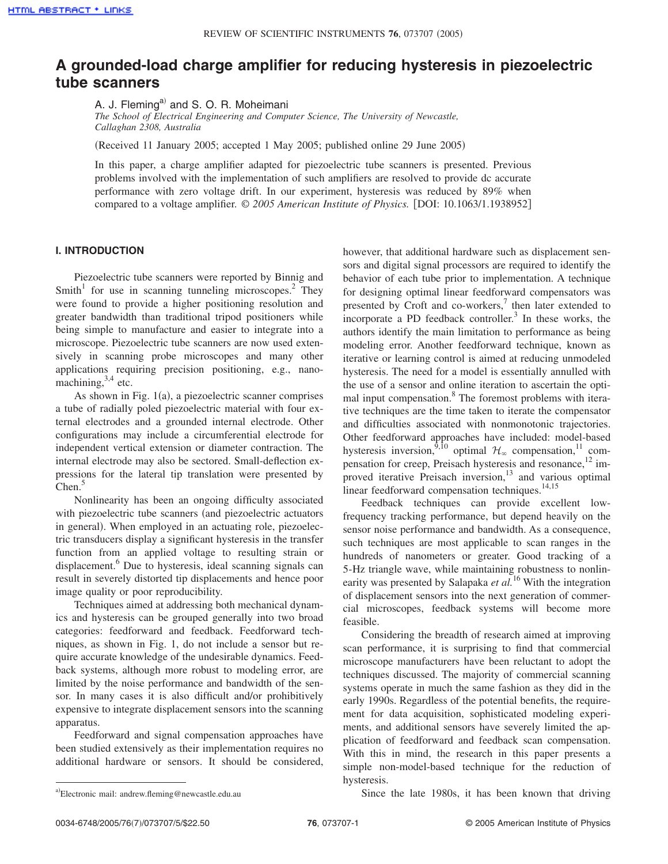# **A grounded-load charge amplifier for reducing hysteresis in piezoelectric tube scanners**

A. J. Fleming<sup>a)</sup> and S. O. R. Moheimani

*The School of Electrical Engineering and Computer Science, The University of Newcastle, Callaghan 2308, Australia*

Received 11 January 2005; accepted 1 May 2005; published online 29 June 2005-

In this paper, a charge amplifier adapted for piezoelectric tube scanners is presented. Previous problems involved with the implementation of such amplifiers are resolved to provide dc accurate performance with zero voltage drift. In our experiment, hysteresis was reduced by 89% when compared to a voltage amplifier.  $\odot$  2005 American Institute of Physics. [DOI: 10.1063/1.1938952]

## **I. INTRODUCTION**

Piezoelectric tube scanners were reported by Binnig and Smith<sup>1</sup> for use in scanning tunneling microscopes.<sup>2</sup> They were found to provide a higher positioning resolution and greater bandwidth than traditional tripod positioners while being simple to manufacture and easier to integrate into a microscope. Piezoelectric tube scanners are now used extensively in scanning probe microscopes and many other applications requiring precision positioning, e.g., nanomachining, $3,4$  etc.

As shown in Fig.  $1(a)$ , a piezoelectric scanner comprises a tube of radially poled piezoelectric material with four external electrodes and a grounded internal electrode. Other configurations may include a circumferential electrode for independent vertical extension or diameter contraction. The internal electrode may also be sectored. Small-deflection expressions for the lateral tip translation were presented by  $Chen.<sup>5</sup>$ 

Nonlinearity has been an ongoing difficulty associated with piezoelectric tube scanners (and piezoelectric actuators in general). When employed in an actuating role, piezoelectric transducers display a significant hysteresis in the transfer function from an applied voltage to resulting strain or displacement.<sup>6</sup> Due to hysteresis, ideal scanning signals can result in severely distorted tip displacements and hence poor image quality or poor reproducibility.

Techniques aimed at addressing both mechanical dynamics and hysteresis can be grouped generally into two broad categories: feedforward and feedback. Feedforward techniques, as shown in Fig. 1, do not include a sensor but require accurate knowledge of the undesirable dynamics. Feedback systems, although more robust to modeling error, are limited by the noise performance and bandwidth of the sensor. In many cases it is also difficult and/or prohibitively expensive to integrate displacement sensors into the scanning apparatus.

Feedforward and signal compensation approaches have been studied extensively as their implementation requires no additional hardware or sensors. It should be considered, however, that additional hardware such as displacement sensors and digital signal processors are required to identify the behavior of each tube prior to implementation. A technique for designing optimal linear feedforward compensators was presented by Croft and co-workers, $\frac{7}{1}$  then later extended to incorporate a PD feedback controller.<sup>3</sup> In these works, the authors identify the main limitation to performance as being modeling error. Another feedforward technique, known as iterative or learning control is aimed at reducing unmodeled hysteresis. The need for a model is essentially annulled with the use of a sensor and online iteration to ascertain the optimal input compensation.8 The foremost problems with iterative techniques are the time taken to iterate the compensator and difficulties associated with nonmonotonic trajectories. Other feedforward approaches have included: model-based hysteresis inversion,  $9,10$  optimal  $\mathcal{H}_{\infty}$  compensation,  $\frac{11}{12}$  compensation for creep, Preisach hysteresis and resonance, $12$  improved iterative Preisach inversion, $13$  and various optimal linear feedforward compensation techniques. $14,15$ 

Feedback techniques can provide excellent lowfrequency tracking performance, but depend heavily on the sensor noise performance and bandwidth. As a consequence, such techniques are most applicable to scan ranges in the hundreds of nanometers or greater. Good tracking of a 5-Hz triangle wave, while maintaining robustness to nonlinearity was presented by Salapaka *et al.*<sup>16</sup> With the integration of displacement sensors into the next generation of commercial microscopes, feedback systems will become more feasible.

Considering the breadth of research aimed at improving scan performance, it is surprising to find that commercial microscope manufacturers have been reluctant to adopt the techniques discussed. The majority of commercial scanning systems operate in much the same fashion as they did in the early 1990s. Regardless of the potential benefits, the requirement for data acquisition, sophisticated modeling experiments, and additional sensors have severely limited the application of feedforward and feedback scan compensation. With this in mind, the research in this paper presents a simple non-model-based technique for the reduction of hysteresis.

Since the late 1980s, it has been known that driving

Electronic mail: andrew.fleming@newcastle.edu.au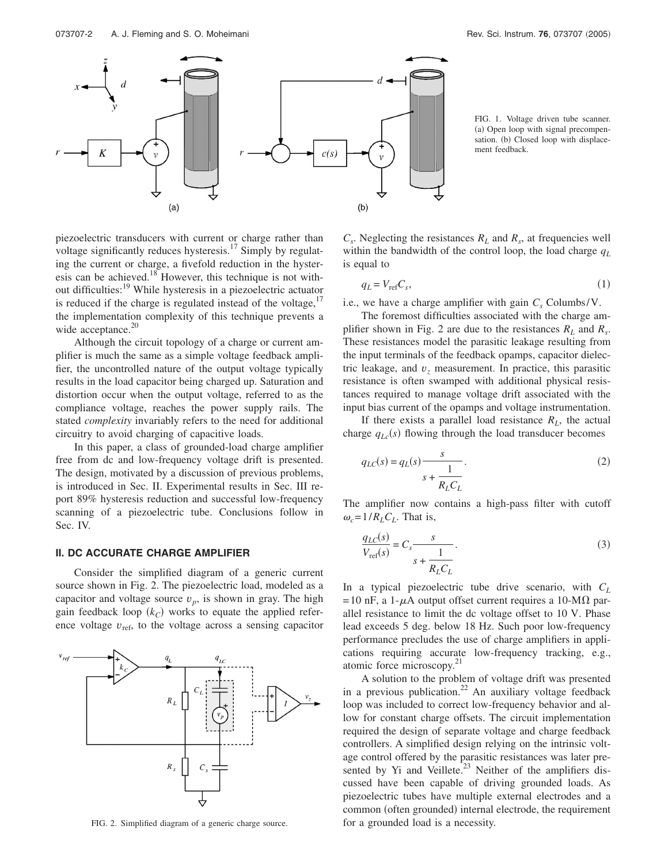

FIG. 1. Voltage driven tube scanner. (a) Open loop with signal precompensation. (b) Closed loop with displacement feedback.

piezoelectric transducers with current or charge rather than voltage significantly reduces hysteresis.<sup>17</sup> Simply by regulating the current or charge, a fivefold reduction in the hysteresis can be achieved.<sup>18</sup> However, this technique is not without difficulties:19 While hysteresis in a piezoelectric actuator is reduced if the charge is regulated instead of the voltage, $17$ the implementation complexity of this technique prevents a wide acceptance. $20$ 

Although the circuit topology of a charge or current amplifier is much the same as a simple voltage feedback amplifier, the uncontrolled nature of the output voltage typically results in the load capacitor being charged up. Saturation and distortion occur when the output voltage, referred to as the compliance voltage, reaches the power supply rails. The stated *complexity* invariably refers to the need for additional circuitry to avoid charging of capacitive loads.

In this paper, a class of grounded-load charge amplifier free from dc and low-frequency voltage drift is presented. The design, motivated by a discussion of previous problems, is introduced in Sec. II. Experimental results in Sec. III report 89% hysteresis reduction and successful low-frequency scanning of a piezoelectric tube. Conclusions follow in Sec. IV.

### **II. DC ACCURATE CHARGE AMPLIFIER**

Consider the simplified diagram of a generic current source shown in Fig. 2. The piezoelectric load, modeled as a capacitor and voltage source  $v_p$ , is shown in gray. The high gain feedback loop  $(k<sub>C</sub>)$  works to equate the applied reference voltage  $v_{ref}$ , to the voltage across a sensing capacitor



FIG. 2. Simplified diagram of a generic charge source.

 $C_s$ . Neglecting the resistances  $R_L$  and  $R_s$ , at frequencies well within the bandwidth of the control loop, the load charge *qL* is equal to

$$
q_L = V_{\text{ref}} C_s,\tag{1}
$$

i.e., we have a charge amplifier with gain  $C_s$  Columbs/V.

The foremost difficulties associated with the charge amplifier shown in Fig. 2 are due to the resistances  $R_L$  and  $R_s$ . These resistances model the parasitic leakage resulting from the input terminals of the feedback opamps, capacitor dielectric leakage, and  $v<sub>z</sub>$  measurement. In practice, this parasitic resistance is often swamped with additional physical resistances required to manage voltage drift associated with the input bias current of the opamps and voltage instrumentation.

If there exists a parallel load resistance  $R_L$ , the actual charge  $q_{Lc}(s)$  flowing through the load transducer becomes

$$
q_{LC}(s) = q_L(s) \frac{s}{s + \frac{1}{R_L C_L}}.\tag{2}
$$

The amplifier now contains a high-pass filter with cutoff  $\omega_c = 1/R_L C_L$ . That is,

$$
\frac{q_{LC}(s)}{V_{\text{ref}}(s)} = C_s \frac{s}{s + \frac{1}{R_L C_L}}.\tag{3}
$$

In a typical piezoelectric tube drive scenario, with *CL* = 10 nF, a 1- $\mu$ A output offset current requires a 10-M $\Omega$  parallel resistance to limit the dc voltage offset to 10 V. Phase lead exceeds 5 deg. below 18 Hz. Such poor low-frequency performance precludes the use of charge amplifiers in applications requiring accurate low-frequency tracking, e.g., atomic force microscopy.<sup>21</sup>

A solution to the problem of voltage drift was presented in a previous publication.<sup>22</sup> An auxiliary voltage feedback loop was included to correct low-frequency behavior and allow for constant charge offsets. The circuit implementation required the design of separate voltage and charge feedback controllers. A simplified design relying on the intrinsic voltage control offered by the parasitic resistances was later presented by Yi and Veillete. $^{23}$  Neither of the amplifiers discussed have been capable of driving grounded loads. As piezoelectric tubes have multiple external electrodes and a common (often grounded) internal electrode, the requirement for a grounded load is a necessity.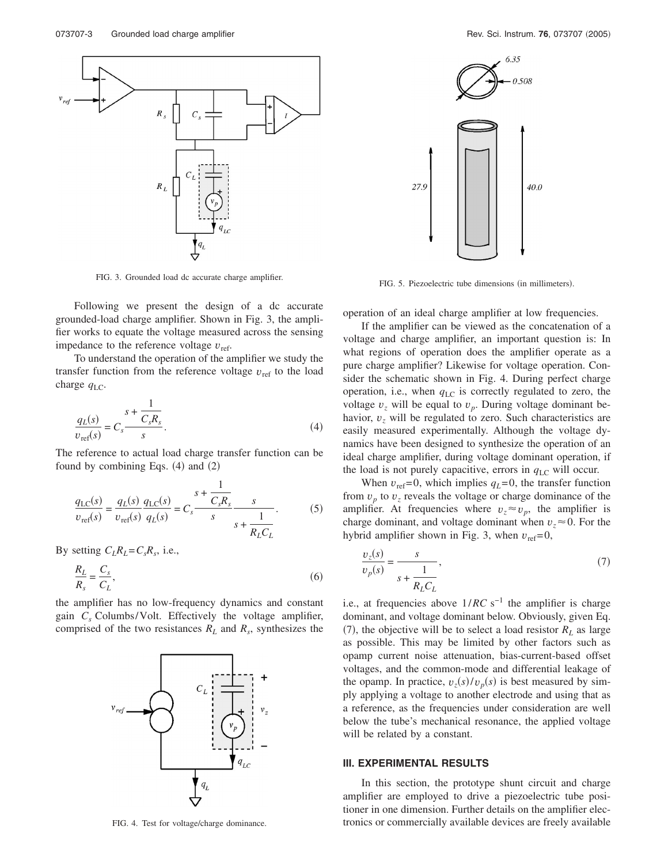

FIG. 3. Grounded load dc accurate charge amplifier.

Following we present the design of a dc accurate grounded-load charge amplifier. Shown in Fig. 3, the amplifier works to equate the voltage measured across the sensing impedance to the reference voltage  $v_{\text{ref}}$ .

To understand the operation of the amplifier we study the transfer function from the reference voltage  $v_{ref}$  to the load charge  $q_{\text{LC}}$ .

$$
\frac{q_L(s)}{v_{\text{ref}}(s)} = C_s \frac{s + \frac{1}{C_s R_s}}{s}.
$$
\n
$$
(4)
$$

The reference to actual load charge transfer function can be found by combining Eqs.  $(4)$  and  $(2)$ 

$$
\frac{q_{\rm LC}(s)}{v_{\rm ref}(s)} = \frac{q_L(s)}{v_{\rm ref}(s)} \frac{q_{\rm LC}(s)}{q_L(s)} = C_s \frac{s + \frac{1}{C_s R_s}}{s} \frac{s}{s + \frac{1}{R_L C_L}}.
$$
(5)

By setting  $C_lR_l = C_sR_s$ , i.e.,

$$
\frac{R_L}{R_s} = \frac{C_s}{C_L},\tag{6}
$$

the amplifier has no low-frequency dynamics and constant gain *Cs* Columbs/Volt. Effectively the voltage amplifier, comprised of the two resistances  $R_L$  and  $R_s$ , synthesizes the



FIG. 4. Test for voltage/charge dominance.



FIG. 5. Piezoelectric tube dimensions (in millimeters).

operation of an ideal charge amplifier at low frequencies.

If the amplifier can be viewed as the concatenation of a voltage and charge amplifier, an important question is: In what regions of operation does the amplifier operate as a pure charge amplifier? Likewise for voltage operation. Consider the schematic shown in Fig. 4. During perfect charge operation, i.e., when  $q_{\text{LC}}$  is correctly regulated to zero, the voltage  $v<sub>z</sub>$  will be equal to  $v<sub>p</sub>$ . During voltage dominant behavior, *v<sup>z</sup>* will be regulated to zero. Such characteristics are easily measured experimentally. Although the voltage dynamics have been designed to synthesize the operation of an ideal charge amplifier, during voltage dominant operation, if the load is not purely capacitive, errors in  $q_{\text{LC}}$  will occur.

When  $v_{ref} = 0$ , which implies  $q_L = 0$ , the transfer function from  $v_p$  to  $v_z$  reveals the voltage or charge dominance of the amplifier. At frequencies where  $v_z \approx v_p$ , the amplifier is charge dominant, and voltage dominant when  $v_z \approx 0$ . For the hybrid amplifier shown in Fig. 3, when  $v_{ref}=0$ ,

$$
\frac{v_z(s)}{v_p(s)} = \frac{s}{s + \frac{1}{R_L C_L}},\tag{7}
$$

i.e., at frequencies above  $1/RC$  s<sup>-1</sup> the amplifier is charge dominant, and voltage dominant below. Obviously, given Eq. (7), the objective will be to select a load resistor  $R_L$  as large as possible. This may be limited by other factors such as opamp current noise attenuation, bias-current-based offset voltages, and the common-mode and differential leakage of the opamp. In practice,  $v_z(s)/v_p(s)$  is best measured by simply applying a voltage to another electrode and using that as a reference, as the frequencies under consideration are well below the tube's mechanical resonance, the applied voltage will be related by a constant.

#### **III. EXPERIMENTAL RESULTS**

In this section, the prototype shunt circuit and charge amplifier are employed to drive a piezoelectric tube positioner in one dimension. Further details on the amplifier electronics or commercially available devices are freely available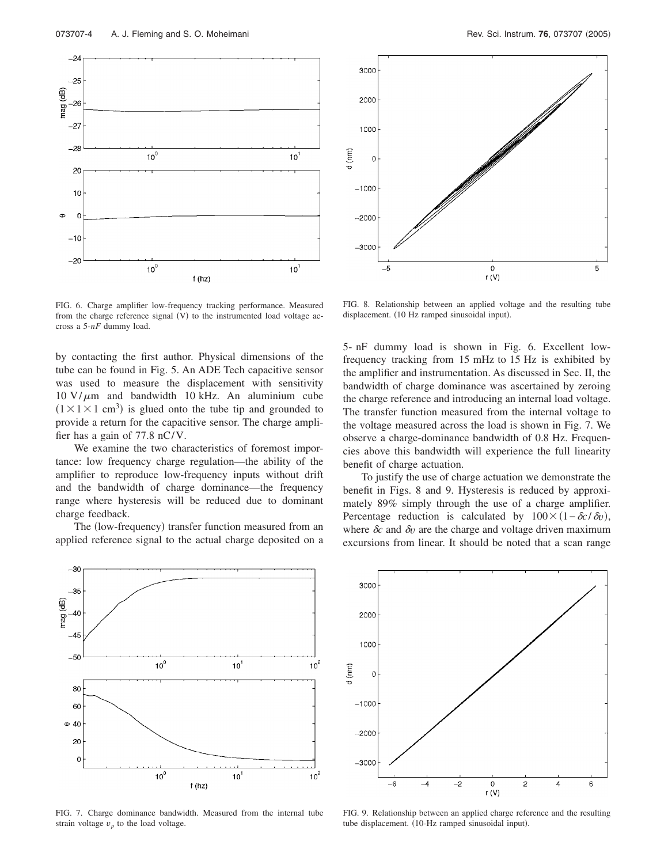



FIG. 6. Charge amplifier low-frequency tracking performance. Measured from the charge reference signal (V) to the instrumented load voltage accross a 5-*nF* dummy load.

by contacting the first author. Physical dimensions of the tube can be found in Fig. 5. An ADE Tech capacitive sensor was used to measure the displacement with sensitivity  $10 \text{ V}/\mu$ m and bandwidth 10 kHz. An aluminium cube  $(1 \times 1 \times 1 \text{ cm}^3)$  is glued onto the tube tip and grounded to provide a return for the capacitive sensor. The charge amplifier has a gain of 77.8 nC/V.

We examine the two characteristics of foremost importance: low frequency charge regulation—the ability of the amplifier to reproduce low-frequency inputs without drift and the bandwidth of charge dominance—the frequency range where hysteresis will be reduced due to dominant charge feedback.

The (low-frequency) transfer function measured from an applied reference signal to the actual charge deposited on a



FIG. 7. Charge dominance bandwidth. Measured from the internal tube strain voltage  $v_p$  to the load voltage.

FIG. 8. Relationship between an applied voltage and the resulting tube displacement. (10 Hz ramped sinusoidal input).

5- nF dummy load is shown in Fig. 6. Excellent lowfrequency tracking from 15 mHz to 15 Hz is exhibited by the amplifier and instrumentation. As discussed in Sec. II, the bandwidth of charge dominance was ascertained by zeroing the charge reference and introducing an internal load voltage. The transfer function measured from the internal voltage to the voltage measured across the load is shown in Fig. 7. We observe a charge-dominance bandwidth of 0.8 Hz. Frequencies above this bandwidth will experience the full linearity benefit of charge actuation.

To justify the use of charge actuation we demonstrate the benefit in Figs. 8 and 9. Hysteresis is reduced by approximately 89% simply through the use of a charge amplifier. Percentage reduction is calculated by  $100 \times (1 - \delta c / \delta v)$ , where  $\delta c$  and  $\delta v$  are the charge and voltage driven maximum excursions from linear. It should be noted that a scan range



FIG. 9. Relationship between an applied charge reference and the resulting tube displacement. (10-Hz ramped sinusoidal input).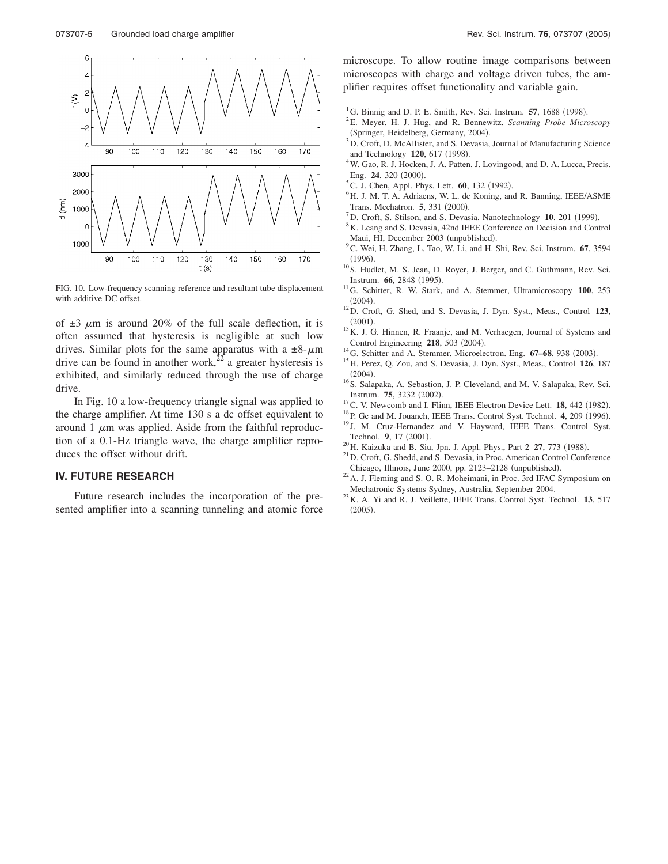

FIG. 10. Low-frequency scanning reference and resultant tube displacement with additive DC offset.

of  $\pm 3$   $\mu$ m is around 20% of the full scale deflection, it is often assumed that hysteresis is negligible at such low drives. Similar plots for the same apparatus with a  $\pm 8 - \mu m$ drive can be found in another work,<sup>22</sup> a greater hysteresis is exhibited, and similarly reduced through the use of charge drive.

In Fig. 10 a low-frequency triangle signal was applied to the charge amplifier. At time 130 s a dc offset equivalent to around 1  $\mu$ m was applied. Aside from the faithful reproduction of a 0.1-Hz triangle wave, the charge amplifier reproduces the offset without drift.

## **IV. FUTURE RESEARCH**

Future research includes the incorporation of the presented amplifier into a scanning tunneling and atomic force microscope. To allow routine image comparisons between microscopes with charge and voltage driven tubes, the amplifier requires offset functionality and variable gain.

- <sup>1</sup>G. Binnig and D. P. E. Smith, Rev. Sci. Instrum. **57**, 1688 (1998).
- E. Meyer, H. J. Hug, and R. Bennewitz, *Scanning Probe Microscopy* (Springer, Heidelberg, Germany, 2004).
- <sup>3</sup>D. Croft, D. McAllister, and S. Devasia, Journal of Manufacturing Science and Technology **120**, 617 (1998).
- <sup>4</sup>W. Gao, R. J. Hocken, J. A. Patten, J. Lovingood, and D. A. Lucca, Precis. Eng. **24**, 320 (2000).
- <sup>5</sup>C. J. Chen, Appl. Phys. Lett. **60**, 132 (1992).
- H. J. M. T. A. Adriaens, W. L. de Koning, and R. Banning, IEEE/ASME Trans. Mechatron. **5**, 331 (2000).
- $\frac{1}{2}$ D. Croft, S. Stilson, and S. Devasia, Nanotechnology **10**, 201 (1999).
- <sup>8</sup>K. Leang and S. Devasia, 42nd IEEE Conference on Decision and Control Maui, HI, December 2003 (unpublished).
- C. Wei, H. Zhang, L. Tao, W. Li, and H. Shi, Rev. Sci. Instrum. **67**, 3594  $(1996)$
- <sup>10</sup>S. Hudlet, M. S. Jean, D. Royer, J. Berger, and C. Guthmann, Rev. Sci. Instrum. **66**, 2848 (1995).
- . 11G. Schitter, R. W. Stark, and A. Stemmer, Ultramicroscopy **<sup>100</sup>**, 253  $(2004).$
- . 12D. Croft, G. Shed, and S. Devasia, J. Dyn. Syst., Meas., Control **<sup>123</sup>**,  $(2001).$
- $^{13}$ K. J. G. Hinnen, R. Fraanje, and M. Verhaegen, Journal of Systems and Control Engineering 218, 503 (2004).
- <sup>14</sup>G. Schitter and A. Stemmer, Microelectron. Eng. **67–68**, 938 (2003).
- <sup>15</sup> H. Perez, Q. Zou, and S. Devasia, J. Dyn. Syst., Meas., Control 126, 187  $(2004).$
- <sup>16</sup>S. Salapaka, A. Sebastion, J. P. Cleveland, and M. V. Salapaka, Rev. Sci. Instrum. **75**, 3232 (2002).
- <sup>17</sup>C. V. Newcomb and I. Flinn, IEEE Electron Device Lett. **18**, 442 (1982).
- <sup>18</sup>P. Ge and M. Jouaneh, IEEE Trans. Control Syst. Technol. **4**, 209 (1996).
- <sup>19</sup> J. M. Cruz-Hernandez and V. Hayward, IEEE Trans. Control Syst. Technol. 9, 17 (2001).
- <sup>20</sup>H. Kaizuka and B. Siu, Jpn. J. Appl. Phys., Part 2 **27**, 773 (1988).
- <sup>21</sup> D. Croft, G. Shedd, and S. Devasia, in Proc. American Control Conference Chicago, Illinois, June 2000, pp. 2123-2128 (unpublished).
- <sup>22</sup> A. J. Fleming and S. O. R. Moheimani, in Proc. 3rd IFAC Symposium on
- Mechatronic Systems Sydney, Australia, September 2004. 23K. A. Yi and R. J. Veillette, IEEE Trans. Control Syst. Technol. **<sup>13</sup>**, 517  $(2005).$